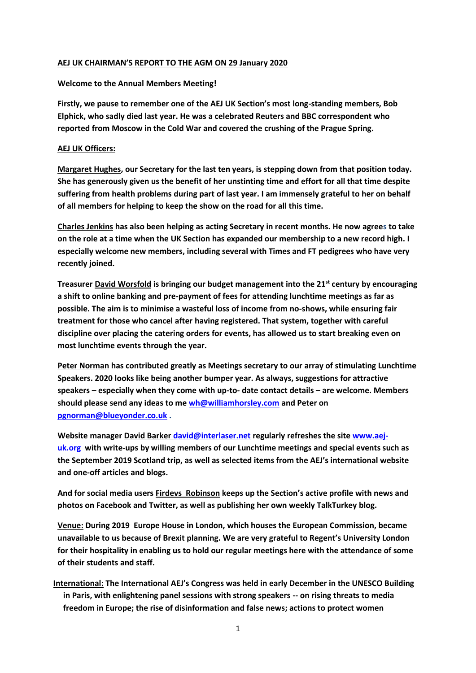## **AEJ UK CHAIRMAN'S REPORT TO THE AGM ON 29 January 2020**

## **Welcome to the Annual Members Meeting!**

**Firstly, we pause to remember one of the AEJ UK Section's most long-standing members, Bob Elphick, who sadly died last year. He was a celebrated Reuters and BBC correspondent who reported from Moscow in the Cold War and covered the crushing of the Prague Spring.** 

## **AEJ UK Officers:**

**Margaret Hughes, our Secretary for the last ten years, is stepping down from that position today. She has generously given us the benefit of her unstinting time and effort for all that time despite suffering from health problems during part of last year. I am immensely grateful to her on behalf of all members for helping to keep the show on the road for all this time.** 

**Charles Jenkins has also been helping as acting Secretary in recent months. He now agrees to take on the role at a time when the UK Section has expanded our membership to a new record high. I especially welcome new members, including several with Times and FT pedigrees who have very recently joined.** 

**Treasurer David Worsfold is bringing our budget management into the 21st century by encouraging a shift to online banking and pre-payment of fees for attending lunchtime meetings as far as possible. The aim is to minimise a wasteful loss of income from no-shows, while ensuring fair treatment for those who cancel after having registered. That system, together with careful discipline over placing the catering orders for events, has allowed us to start breaking even on most lunchtime events through the year.** 

**Peter Norman has contributed greatly as Meetings secretary to our array of stimulating Lunchtime Speakers. 2020 looks like being another bumper year. As always, suggestions for attractive speakers – especially when they come with up-to- date contact details – are welcome. Members should please send any ideas to me [wh@williamhorsley.com](mailto:wh@williamhorsley.com) and Peter on [pgnorman@blueyonder.co.uk](mailto:pgnorman@blueyonder.co.uk) .** 

**Website manager David Barke[r david@interlaser.net](mailto:david@interlaser.net) regularly refreshes the site [www.aej](http://www.aej-uk.org/)[uk.org](http://www.aej-uk.org/) with write-ups by willing members of our Lunchtime meetings and special events such as the September 2019 Scotland trip, as well as selected items from the AEJ's international website and one-off articles and blogs.**

**And for social media users Firdevs Robinson keeps up the Section's active profile with news and photos on Facebook and Twitter, as well as publishing her own weekly TalkTurkey blog.** 

**Venue: During 2019 Europe House in London, which houses the European Commission, became unavailable to us because of Brexit planning. We are very grateful to Regent's University London for their hospitality in enabling us to hold our regular meetings here with the attendance of some of their students and staff.** 

**International: The International AEJ's Congress was held in early December in the UNESCO Building in Paris, with enlightening panel sessions with strong speakers -- on rising threats to media freedom in Europe; the rise of disinformation and false news; actions to protect women**